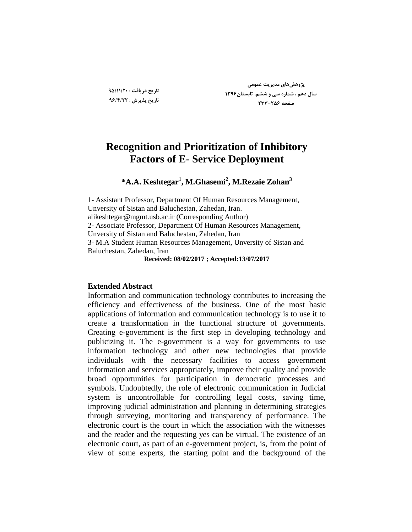**تارید زریافت : 95/11/20 تارید پذیزش : 96/4/22**

**پضٍّصّای هسیزیت عوَهی سال زّن ، ضوارُ سی ٍ ضطن، تاتستاى1396 صفحِ 233-256**

# **Recognition and Prioritization of Inhibitory Factors of E- Service Deployment**

**\*A.A. Keshtegar<sup>1</sup> , M.Ghasemi<sup>2</sup> , M.Rezaie Zohan<sup>3</sup>**

1- Assistant Professor, Department Of Human Resources Management, Unversity of Sistan and Baluchestan, Zahedan, Iran. alikeshtegar@mgmt.usb.ac.ir (Corresponding Author) 2- Associate Professor, Department Of Human Resources Management, Unversity of Sistan and Baluchestan, Zahedan, Iran 3- M.A Student Human Resources Management, Unversity of Sistan and Baluchestan, Zahedan, Iran

**Received: 08/02/2017 ; Accepted:13/07/2017**

# **Extended Abstract**

Information and communication technology contributes to increasing the efficiency and effectiveness of the business. One of the most basic applications of information and communication technology is to use it to create a transformation in the functional structure of governments. Creating e-government is the first step in developing technology and publicizing it. The e-government is a way for governments to use information technology and other new technologies that provide individuals with the necessary facilities to access government information and services appropriately, improve their quality and provide broad opportunities for participation in democratic processes and symbols. Undoubtedly, the role of electronic communication in Judicial system is uncontrollable for controlling legal costs, saving time, improving judicial administration and planning in determining strategies through surveying, monitoring and transparency of performance. The electronic court is the court in which the association with the witnesses and the reader and the requesting yes can be virtual. The existence of an electronic court, as part of an e-government project, is, from the point of view of some experts, the starting point and the background of the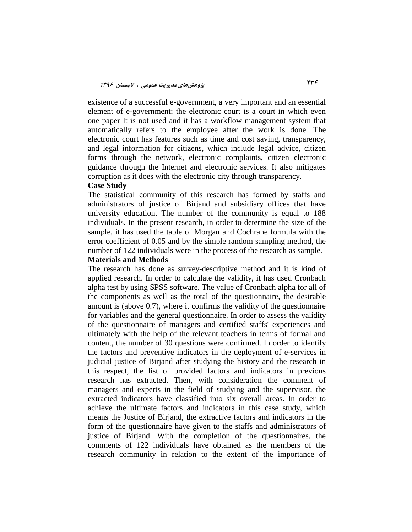existence of a successful e-government, a very important and an essential element of e-government; the electronic court is a court in which even one paper It is not used and it has a workflow management system that automatically refers to the employee after the work is done. The electronic court has features such as time and cost saving, transparency, and legal information for citizens, which include legal advice, citizen forms through the network, electronic complaints, citizen electronic guidance through the Internet and electronic services. It also mitigates corruption as it does with the electronic city through transparency.

#### **Case Study**

The statistical community of this research has formed by staffs and administrators of justice of Birjand and subsidiary offices that have university education. The number of the community is equal to 188 individuals. In the present research, in order to determine the size of the sample, it has used the table of Morgan and Cochrane formula with the error coefficient of 0.05 and by the simple random sampling method, the number of 122 individuals were in the process of the research as sample.

### **Materials and Methods**

The research has done as survey-descriptive method and it is kind of applied research. In order to calculate the validity, it has used Cronbach alpha test by using SPSS software. The value of Cronbach alpha for all of the components as well as the total of the questionnaire, the desirable amount is (above 0.7), where it confirms the validity of the questionnaire for variables and the general questionnaire. In order to assess the validity of the questionnaire of managers and certified staffs' experiences and ultimately with the help of the relevant teachers in terms of formal and content, the number of 30 questions were confirmed. In order to identify the factors and preventive indicators in the deployment of e-services in judicial justice of Birjand after studying the history and the research in this respect, the list of provided factors and indicators in previous research has extracted. Then, with consideration the comment of managers and experts in the field of studying and the supervisor, the extracted indicators have classified into six overall areas. In order to achieve the ultimate factors and indicators in this case study, which means the Justice of Birjand, the extractive factors and indicators in the form of the questionnaire have given to the staffs and administrators of justice of Birjand. With the completion of the questionnaires, the comments of 122 individuals have obtained as the members of the research community in relation to the extent of the importance of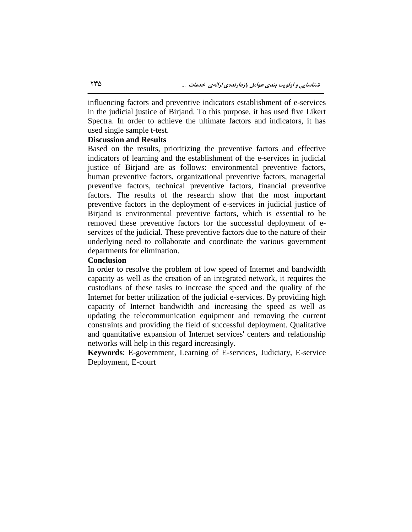influencing factors and preventive indicators establishment of e-services in the judicial justice of Birjand. To this purpose, it has used five Likert Spectra. In order to achieve the ultimate factors and indicators, it has used single sample t-test.

### **Discussion and Results**

Based on the results, prioritizing the preventive factors and effective indicators of learning and the establishment of the e-services in judicial justice of Birjand are as follows: environmental preventive factors, human preventive factors, organizational preventive factors, managerial preventive factors, technical preventive factors, financial preventive factors. The results of the research show that the most important preventive factors in the deployment of e-services in judicial justice of Birjand is environmental preventive factors, which is essential to be removed these preventive factors for the successful deployment of eservices of the judicial. These preventive factors due to the nature of their underlying need to collaborate and coordinate the various government departments for elimination.

# **Conclusion**

In order to resolve the problem of low speed of Internet and bandwidth capacity as well as the creation of an integrated network, it requires the custodians of these tasks to increase the speed and the quality of the Internet for better utilization of the judicial e-services. By providing high capacity of Internet bandwidth and increasing the speed as well as updating the telecommunication equipment and removing the current constraints and providing the field of successful deployment. Qualitative and quantitative expansion of Internet services' centers and relationship networks will help in this regard increasingly.

**Keywords**: E-government, Learning of E-services, Judiciary, E-service Deployment, E-court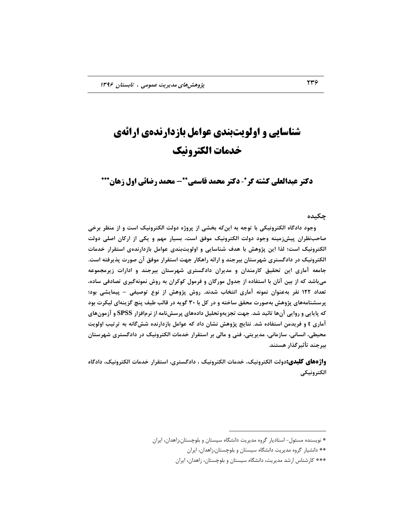# **شناسایی و اولویتبندی عوامل بازدارندهی ارائهی خدمات الکترونیک**

**دکتر عبدالعلی کشته گر\*- دکتر محمد قاسمی\*\*- محمد رضائی اول زهان\*\*\*** 

#### **چکیسُ**

وجود دادگاه الکترونیکی با توجه به اینکه بخشی از پروژه دولت الکترونیک است و از منظر برخی **صاحةًظزاى پیصسهیٌِ ٍجَز زٍلت الکتزًٍیک هَفق است، تسیار هْن ٍ یکی اس ارکاى اصلی زٍلت الکتزًٍیک است؛ لذا ایي پضٍّص تا ّسف ضٌاسایی ٍ اٍلَیتتٌسی عَاهل تاسزارًسُی استقزار ذسهات**  الکترونیک در دادگستری شهرستان بیرجند و ارائه راهکار جهت استقرار موفق آن صورت پذیرفته است. **جاهعِ آهاری ایي تحقیق کارهٌساى ٍ هسیزاى زازگستزی ضْزستاى تیزجٌس ٍ ازارات سیزهجوَعِ**  هی باشد که از بین آنان با استفاده از جدول مورگان و فرمول کوکران به روش نمونهگیری تصادفی ساده، **تعساز 122 ًفز تِعٌَاى ًوًَِ آهاری اًتراب ضسًس. رٍش پضٍّص اس ًَع تَصیفی – پیوایطی تَز؛ پزسطٌاهِّای پضٍّص تِصَرت هحقق ساذتِ ٍ زر کل تا 30 گَیِ زر قالة طیف پٌچ گشیٌِای لیکزت تَز کِ پایایی ٍ رٍایی آىّا تائیس ضس. جْت تجشیٍِتحلیل زازُّای پزسصًاهِ اس ًزمافشار SPSS ٍ آسهَىّای آهاری t ٍ فزیسهي استفازُ ضس. ًتایج پضٍّص ًطاى زاز کِ عَاهل تاسزارًسُ ضصگاًِ تِ تزتیة اٍلَیت هحیطی، اًساًی، ساسهاًی، هسیزیتی، فٌی ٍ هالی تز استقزار ذسهات الکتزًٍیک زر زازگستزی ضْزستاى تیزجٌس تأثیزگذار ّستٌس.** 

و**اژههای کلیدی:**دولت الکترونیک، خدمات الکترونیک ، دادگستری، استقرار خدمات الکترونیک، دادگاه **الکتزًٍیکی**

 $\overline{a}$ 

<sup>\*</sup> نویسنده مسئول- استادیار گروه مدیریت دانشگاه سیستان و بلوچستان،زاهدان، ایران

<sup>\*\*</sup> دانشیار گروه مدیریت دانشگاه سیستان و بلوچستان،زاهدان، ایران

<sup>\*\*\*</sup> کارشناس ارشد مدیریت، دانشگاه سیستان و بلوچستان، زاهدان، ایران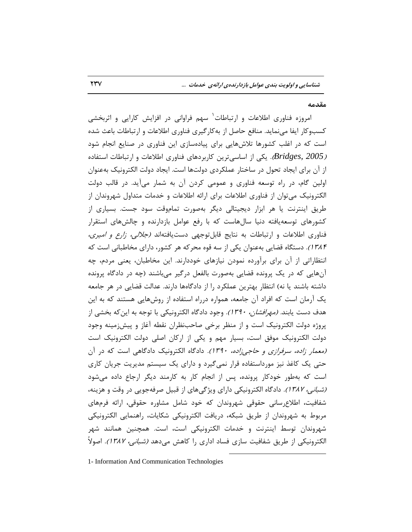#### **هقسهِ**

امروزه فناوری اطلاعات و ارتباطات<sup>٬</sup> سهم فراوانی در افزایش کارایی و اثربخشی کسبوکار ایفا مینماید. منافع حاصل از بهکارگیری فناوری اطلاعات و ارتباطات باعث شده است که در اغلب کشورها تلاشهایی برای پیادهسازی این فناوری در صنایع انجام شود *(Bridges, 2005).* یکی از اساسیترین کاربردهای فناوری اطلاعات و ارتباطات استفاده از آن برای ایجاد تحول در ساختار عملکردی دولتها است. ایجاد دولت الکترونیک بهعنوان اولین گام، در راه توسعه فناوری و عمومی کردن آن به شمار میآید. در قالب دولت الکترونیک میتوان از فناوری اطلاعات برای ارائه اطلاعات و خدمات متداول شهروندان از طریق اینترنت یا هر ابزار دیجیتالی دیگر بهصورت تماموقت سود جست. بسیاری از كشورهای توسعهیافته دنیا سالهاست كه با رفع عوامل بازدارنده و چالشهای استقرار فناوری اطلاعات و ارتباطات به نتایج قابلتوجهی دستیافتهاند *(جلالی، زارع و امیری،* 1546). دستگاه قضایی بهعنوان یکی از سه قوه محرکه هر کشور، دارای مخاطبانی است که انتظاراتی از آن برای برآورده نمودن نیازهای خوددارند. این مخاطبان، یعنی مردم، چه آنهایی که در یک پرونده قضایی بهصورت بالفعل درگیر میباشند (چه در دادگاه پرونده داشته باشند یا نه) انتظار بهترین عملکرد را از دادگاهها دارند. عدالت قضایی در هر جامعه یک آرمان است که افراد آن جامعه، همواره درراه استفاده از روشهایی هستند که به این هدف دست یابند*. (مهرافشان، ۱۳۹۰).* وجود دادگاه الکترونیکی با توجه به این *ک*ه بخشی از پروژه دولت الکترونیک است و از منظر برخی صاحبنظران نقطه آغاز و پیشزمینه وجود دولت الكترونیک موفق است، بسیار مهم و یكی از اركان اصلی دولت الكترونیک است (معمار زاده، سرفرازی و حاجی زاده، 1۳۹۰). دادگاه الکترونیک دادگاهی است که در آن حتی یک کاغذ نیز مورداستفاده قرار نمیگیرد و دارای یک سیستم مدیریت جریان کاری است که بهطور خودکار پرونده، پس از انجام کار به کارمند دیگر ارجاع داده می شود *(شبانی، ۱۳۸۲).* دادگاه الکترونیکی دارای ویژگیهای از قبیل صرفهجویی در وقت و هزینه، شفافیت، اطلاع رسانی حقوقی شهروندان كه خود شامل مشاوره حقوقی، ارائه فرمهای مربوط به شهروندان از طریق شبکه، دریافت الکترونیکی شکایات، راهنمایی الکترونیکی شهروندان توسط اینترنت و خدمات الکترونیکی است، است. همچنین همانند شهر الکترونیکی از طریق شفافیت سازی فساد اداری را کاهش میدهد *(شبانی، ۱۳۸۲).* اصولاً

 $\overline{a}$ 

1- Information And Communication Technologies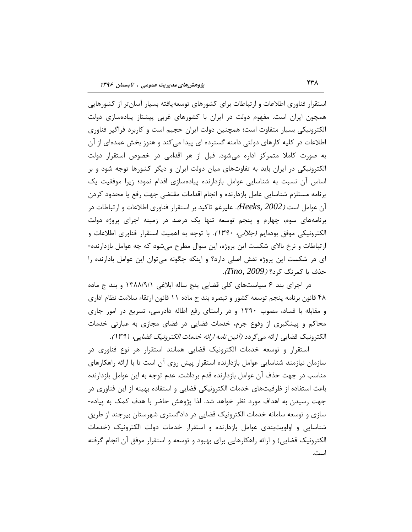استقرار فناوری اطلاعات و ارتباطات برای کشورهای توسعهپافته بسیار آسانتر از کشورهایی همچون ایران است. مفهوم دولت در ایران با كشورهای غربی پیشتاز پیادهسازی دولت الکترونیکی بسیار متفاوت است؛ همچنین دولت ایران حجیم است و کاربرد فراگیر فناوری اطلاعات در کلیه کارهای دولتی دامنه گسترده ای پیدا میکند و هنوز بخش عمدهای از آن به صورت کاملا متمرکز اداره میشود. قبل از هر اقدامی در خصوص استقرار دولت الکترونیکی در ایران باید به تفاوتهای میان دولت ایران و دیگر کشورها توجه شود و بر اساس آن نسبت به شناسایی عوامل بازدارنده پیادهسازی اقدام نمود؛ زیرا موفقیت یک برنامه مستلزم شناسایی عامل بازدارنده و انجام اقدامات مقتضی جهت رفع یا محدود کردن آن عوامل است *(Heeks*, 2002). علیرغم تاکید بر استقرار فناوری اطلاعات و ارتباطات در برنامههای سوم، چهارم و پنجم توسعه تنها یک درصد در زمینه اجرای پروژه دولت الکترونیکی موفق بودهایم *(جلالی، ۱۳۹۰).* با توجه به اهمیت استقرار فناوری اطلاعات و ارتباطات و نرخ بالای شکست این پروژه، این سوال مطرح میشود که چه عوامل بازدارنده-ای در شکست این پروژه نقش اصلی دارد؟ و اینکه چگونه می توان این عوامل بادارنده را حصف یب وٕطً٘ وطز؟ )*2009 ,Tino*).

در اجرای بند ۶ سیاستهای کلی قضایی پنج ساله ابلاغی ۱۳۸۸/۹/۱ و بند ج ماده ۴۸ قانون برنامه پنجم توسعه کشور و تبصره بند ج ماده ۱۱ قانون ارتقاء سلامت نظام اداری و مقابله با فساد، مصوب ۱۳۹۰ و در راستای رفع اطاله دادرسی، تسریع در امور جاری محاکم و پیشگیری از وقوع جرم، خدمات قضایی در فضای مجازی به عبارتی خدمات الکترونیک قضایی ا<sub>ِر</sub>ائه می گردد *(آئین نامه ا<sub>ر</sub>ائه خدمات الکترونیک قضایی، ۱۳۹۱).* 

استقرار و توسعه خدمات الکترونیک قضایی همانند استقرار هر نوع فناوری در سازمان نیازمند شناسایی عوامل بازدارنده استقرار پیش روی آن است تا با ارائه راهکارهای مناسب در جهت حذف آن عوامل بازدارنده قدم برداشت. عدم توجه به این عوامل بازدارنده باعث استفاده از ظرفیتهای خدمات الکترونیکی قضایی و استفاده بهینه از این فناوری در جهت رسیدن به اهداف مورد نظر خواهد شد. لذا پژوهش حاضر با هدف کمک به پیاده-سازی و توسعه سامانه خدمات الکترونیک قضایی در دادگستری شهرستان بیرجند از طریق شناسایی و اولویتبندی عوامل بازدارنده و استقرار خدمات دولت الکترونیک (خدمات الکترونیک قضایی) و ارائه راهکارهایی برای بهبود و توسعه و استقرار موفق آن انجام گرفته است.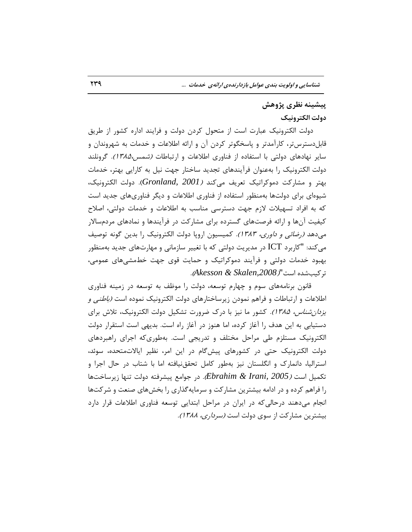# پیشینه نظری پژوهش **زٍلت الکتزًٍیک**

دولت الکترونیک عبارت است از متحول کردن دولت و فرایند اداره کشور از طریق قابلِدسترس تر، کارآمدتر و پاسخگوتر کردن آن و ارائه اطلاعات و خدمات به شهروندان و سایر نهادهای دولتی با استفاده از فناوری اطلاعات و ارتباطات *(شمس،۱۳۸۵).* گرونلند دولت الکترونیک را بهعنوان فرآیندهای تجدید ساختار جهت نیل به کارایی بهتر، خدمات بهتر و مشاركت دموكراتیک تعریف میكند *(Gronland, 2001*). دولت الكترونیک، شیوهای برای دولتها بهمنظور استفاده از فناوری اطلاعات و دیگر فناوریهای جدید است که به افراد تسهیلات لازم جهت دسترسی مناسب به اطلاعات و خدمات دولتی، اصلاح کیفیت آنها و ارائه فرصتهای گسترده برای مشارکت در فرآیندها و نمادهای مردمسالار میدهد *(رضائی و داوری، ۱۳۸۳).* کمیسیون اروپا دولت الکترونیک را بدین گونه توصیف می کند: "کاربرد ICT در مدیریت دولتی که با تغییر سازمانی و مهارتهای جدید بهمنظور بهبود خدمات دولتی و فرآیند دموکراتیک و حمایت قوی جهت خطمشی های عمومی، تطویتقسٜ اؾت")*,2008Skalen & Akesson*).

قانون برنامههای سوم و چهارم توسعه، دولت را موظف به توسعه در زمینه فناوری اطلاعات و ارتباطات و فراهم نمودن زیرساختارهای دولت الکترونیک نموده است *(باطنی و یزدان شناس، 1۳۸۵).* کشور ما نیز با درک ضرورت تشکیل دولت الکترونیک، تلاش برای دستیابی به این هدف را آغاز کرده، اما هنوز در آغاز راه است. بدیهی است استقرار دولت الکترونیک مستلزم طی مراحل مختلف و تدریجی است. بهطوری که اجرای راهبردهای دولت الکترونیک حتی در کشورهای پیشگام در این امر، نظیر ایالاتمتحده، سوئد، استرالیا، دانمارک و انگلستان نیز بهطور کامل تحققنیافته اما با شتاب در حال اجرا و تكمیل است *(2005 ,Ebrahim & Irani).* در جوامع پیشرفته دولت تنها زیرساختها را فراهم كرده و در ادامه بیشترین مشاركت و سرمایهگذاری را بخشهای صنعت و شركتها انجام می۵هند درحالی که در ایران در مراحل ابتدایی توسعه فناوری اطلاعات قرار دارد بیشترین مشاركت از سوی دولت است *(سرداری، ۱۳۸۸).*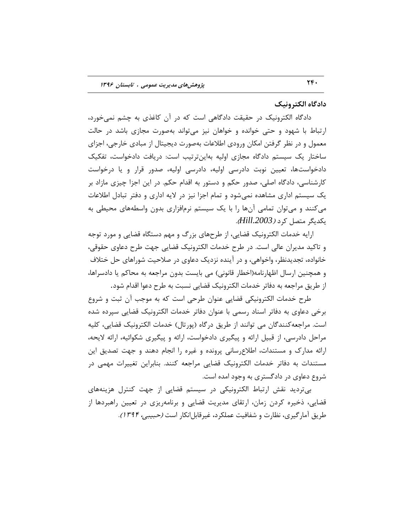### **زازگاُ الکتزًٍیک**

دادگاه الکترونیک در حقیقت دادگاهی است که در آن کاغذی به چشم نمیخورد، ارتباط با شهود و حتی خوانده و خواهان نیز می تواند بهصورت مجازی باشد در حالت معمول و در نظر گرفتن امکان ورودی اطلاعات بهصورت دیجیتال از مبادی خارجی، اجزای ساختار یک سیستم دادگاه مجازی اولیه بهاینترتیب است: دریافت دادخواست، تفکیک دادخواستها، تعیین نوبت دادرسی اولیه، دادرسی اولیه، صدور قرار و یا درخواست کارشناسی، دادگاه اصلی، صدور حکم و دستور به اقدام حکم. در این اجزا چیزی مازاد بر یک سیستم اداری مشاهده نمیشود و تمام اجزا نیز در لایه اداری و دفتر تبادل اطلاعات میکنند و میتوان تمامی آنها را با یک سیستم نرمافزاری بدون واسطههای محیطی به یىسیٍط ٔتهُ وطز )*.2003Hill*).

ارایه خدمات الکترونیک قضایی، از طرحهای بزرگ و مهم دستگاه قضایی و مورد توجه و تاکید مدیران عالی است. در طرح خدمات الکترونیک قضایی جهت طرح دعاوی حقوقی، خانواده، تجدیدنظر، واخواهی، و در آینده نزدیک دعاوی در صلاحیت شوراهای حل ختلاف و همچنین ارسال اظهارنامه(اخطار قانونی) می بایست بدون مراجعه به محاکم یا دادسراها، از طریق مراجعه به دفاتر خدمات الکترونیک قضایی نسبت به طرح دعوا اقدام شود.

طرح خدمات الکترونیکی قضایی عنوان طرحی است که به موجب آن ثبت و شروع برخی دعاوی به دفاتر اسناد رسمی با عنوان دفاتر خدمات الکترونیک قضایی سپرده شده است. مراجعه کنندگان می توانند از طریق درگاه (پورتال) خدمات الکترونیک قضایی، کلیه مراحل دادرسی، از قبیل ارائه و پیگیری دادخواست، ارائه و پیگیری شکوائیه، ارائه لایحه، ارائه مدارک و مستندات، اطلاع رسانی پرونده و غیره را انجام دهند و جهت تصدیق این مستندات به دفاتر خدمات الکترونیک قضایی مراجعه کنند. بنابراین تغییرات مهمی در شروع دعاوی در دادگستری به وجود امده است.

بیتردید نقش ارتباط الکترونیکی در سیستم قضایی از جهت کنترل هزینههای قضایی، ذخیره کردن زمان، ارتقای مدیریت قضایی و برنامهریزی در تعیین راهبردها از طریق آمار گیری، نظارت و شفافیت عملکرد، غیرقابل انکار است *(حبیبی، ۱۳۹۴).*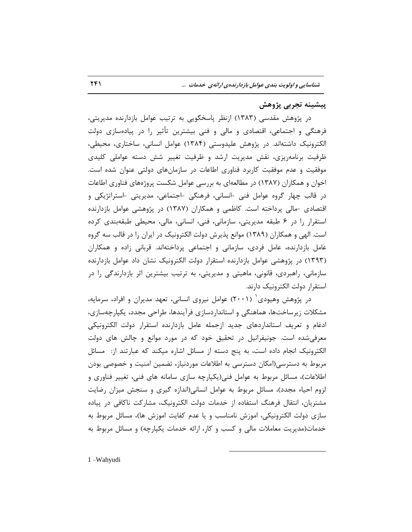# پیشینه تجرب*ی* پژوهش

در پژوهش مقدسی (۱۳۸۳) ازنظر پاسخگویی به ترتیب عوامل بازدارنده مدیریتی، فرهنگی و اجتماعی، اقتصادی و مالی و فنی بیشترین تأثیر را در پیادهسازی دولت الکترونیک داشتهاند. در پژوهش علیدوستی (۱۳۸۴) عوامل انسانی، ساختاری، محیطی، ظرفیت برنامهریزی، نقش مدیریت ارشد و ظرفیت تغییر شش دسته عواملی کلیدی موفقیت و عدم موفقیت کاربرد فناوری اطاعات در سازمانهای دولتی عنوان شده است. اخوان و همکاران (۱۳۸۷) در مطالعهای به بررسی عوامل شکست پروژههای فناوری اطاعات در قالب چهار گروه عوامل فنی -انسانی، فرهنگی -اجتماعی، مدیریتی -استراتژیکی و اقتصادی -مالی پرداخته است. کاظمی و همکاران (۱۳۸۷) در پژوهشی عوامل بازدارنده استقرار را در ۶ طبقه مدیریتی، سازمانی، فنی، انسانی، مالی، محیطی طبقهبندی کرده است. الهی و همکاران (۱۳۸۹) موانع پذیرش دولت الکترونیک در ایران را در قالب سه گروه عامل بازدارنده، عامل فردی، سازمانی و اجتماعی پرداختهاند. قربانی زاده و همکاران (۱۳۹۳) در پژوهشی عوامل بازدارنده استقرار دولت الکترونیک نشان داد عوامل بازدارنده سازمانی، راهبردی، قانونی، ماهیتی و مدیریتی، به ترتیب بیشترین اثر بازدارندگی را در استقرار دولت الکترونیک دارند.

در پژوهش وهیودی ٔ (۲۰۰۱) عوامل نیروی انسانی، تعهد مدیران و افراد، سرمایه، مشكلات زیرساختها، هماهنگی و استانداردسازی فرآیندها، طراحی مجدد، یكپارچهسازی، ادغام و تعریف استانداردهای جدید ازجمله عامل بازدارنده استقرار دولت الکترونیکی معرفی شده است. جونیفرانیل در تحقیق خود که در مورد موانع و چالش های دولت الکترونیک انجام داده است، به پنج دسته از مسائل اشاره میکند که عبارتند از: مسائل مربوط به دسترسی(امکان دسترسی به اطلاعات موردنیاز، تضمین امنیت و خصوصی بودن اطلاعات)، مسائل مربوط به عوامل فنی(یکپارچه سازی سامانه های فنی، تغییر فناوری و لزوم احیاء مجدد)، مسائل مربوط به عوامل انسانی(اندازه گیری و سنجش میزان رضایت مشتریان، انتقال فرهنگ استفاده از خدمات دولت الكترونیک، مشارکت ناكافی در پیاده سازی دولت الکترونیکی، اموزش نامناسب و یا عدم کفایت اموزش ها)، مسائل مربوط به خدمات(مدیریت معاملات مالی و کسب و کار، ارائه خدمات یکپارچه) و مسائل مربوط به

 $\overline{a}$ 

1 -Wahyudi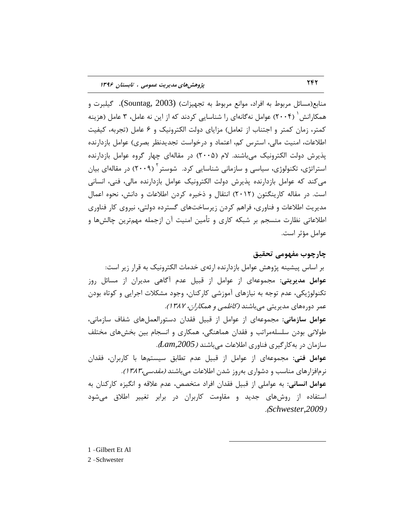منابع(مسائل مربوط به افراد، موانع مربوط به تجهیزات) (Sountag, 2003). گیلبرت و همکارانش ٔ (۲۰۰۴) عوامل نهگانهای را شناسایی کردند که از این نه عامل، ۳ عامل (هزینه کمتر، زمان کمتر و اجتناب از تعامل) مزایای دولت الکترونیک و ۶ عامل (تجربه، کیفیت اطلاعات، امنیت مالی، استرس کم، اعتماد و درخواست تجدیدنظر بصری) عوامل بازدارنده یذیرش دولت الکترونیک می باشند. لام (۲۰۰۵) در مقالهای چهار گروه عوامل بازدارنده استراتژی، تکنولوژی، سیاسی و سازمانی شناسایی کرد. شوستر<sup>۲</sup> (۲۰۰۹) در مقالهای بیان می کند که عوامل بازدارنده پذیرش دولت الکترونیک عوامل بازدارنده مالی، فنی، انسانی است. در مقاله کارینگتون (۲۰۱۲) انتقال و ذخیره کردن اطلاعات و دانش، نحوه اعمال مدیریت اطلاعات و فناوری، فراهم کردن زیرساختهای گسترده دولتی، نیروی کار فناوری اطلاعاتی نظارت منسجم بر شبکه کاری و تأمین امنیت آن ازجمله مهمترین چالشها و عوامل مؤثر است.

**چارچَب هفَْهی تحقیق** بر اساس پیشینه پژوهش عوامل بازدارنده ارئهی خدمات الکترونیک به قرار زیر است: **عوامل مدیریتی: مج**موعهای از عوامل از قبیل عدم آگاهی مدیران از مسائل روز تکنولوژیکی، عدم توجه به نیازهای آموزشی کارکنان، وجود مشکلات اجرایی و کوتاه بودن عمر دورههای مدیریتی میباشند *(کاظمی و همکاران، ۱۳۸۲).* عوامل سازمانی: مجموعهای از عوامل از قبیل فقدان دستورالعملهای شفاف سازمانی، طولانی بودن سلسلهمراتب و فقدان هماهنگی، همکاری و انسجام بین بخشهای مختلف ؾبظٔبٖ زض ثٝوبضٌیطی فٙبٚضی اعالػبت ٔیثبقٙس )*,2005Lam*). عو**امل فنی**: مجموعهای از عوامل از قبیل عدم تطابق سیستمها با کاربران، فقدان نرمافزارهای مناسب و دشواری بهروز شدن اطلاعات میباشند *(مقدسی،۱۳۸۳).* عوامل انسانی: به عواملی از قبیل فقدان افراد متخصص، عدم علاقه و انگیزه کارکنان به استفاده از روشهای جدید و مقاومت کاربران در برابر تغییر اطلاق میشود .)*Schwester,2009*(

 $\overline{a}$ 

1 -Gilbert Et Al 2 -Schwester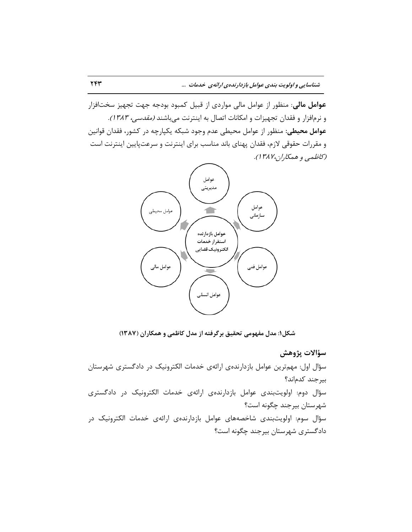عوامل مالی: منظور از عوامل مالی مواردی از قبیل کمبود بودجه جهت تجهیز سختافزار و نرمافزار و فقدان تجهیزات و امکانات اتصال به اینترنت میباشند *(مقدسی، ۱۳۸۳).* عوامل محیطی: منظور از عوامل محیطی عدم وجود شبکه یکپارچه در کشور، فقدان قوانین و مقررات حقوقی لازم، فقدان پهنای باند مناسب برای اینترنت و سرعتپایین اینترنت است (کاظمی و همکاران۱۳۸۷).



**ضکل:1 هسل هفَْهی تحقیق تزگزفتِ اس هسل کاظوی ٍ ّوکاراى )1387(**

**سؤاالت پضٍّص** سؤال اول: مهم ترین عوامل بازدارندهی ارائهی خدمات الکترونیک در دادگستری شهرستان بیرجند کدماند؟ سؤال دوم: اولویتبندی عوامل بازدارندهی ارائهی خدمات الکترونیک در دادگستری شهرستان بیرجند چگونه است؟ سؤال سوم: اولویتبندی شاخصههای عوامل بازدارندهی ارائهی خدمات الکترونیک در دادگستری شهرستان بیرجند چگونه است؟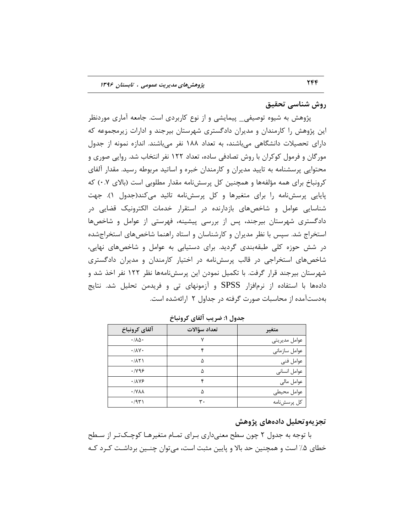**رٍش ضٌاسی تحقیق**

پژوهش به شیوه توصیفی\_ پیمایشی و از نوع کاربردی است. جامعه آماری موردنظر این پژوهش را کارمندان و مدیران دادگستری شهرستان بیرجند و ادارات زیرمجموعه که دارای تحصیلات دانشگاهی میباشند، به تعداد ۱۸۸ نفر میباشند. اندازه نمونه از جدول مورگان و فرمول کوکران با روش تصادفی ساده، تعداد ۱۲۲ نفر انتخاب شد. روایی صوری و محتوایی پرسشنامه به تایید مدیران و کارمندان خبره و اساتید مربوطه رسید. مقدار آلفای کرونباخ برای همه مؤلفهها و همچنین کل پرسشنامه مقدار مطلوبی است (بالای ۰.۷) که پایایی پرسشنامه را برای متغیرها و کل پرسشنامه تائید میکند(جدول ۱). جهت شناسایی عوامل و شاخصهای بازدارنده در استقرار خدمات الکترونیک قضایی در دادگستری شهرستان بیرجند، پس از بررسی پیشینه، فهرستی از عوامل و شاخصها استخراج شد. سپس با نظر مدیران و کارشناسان و استاد راهنما شاخصهای استخراجشده در شش حوزه کلی طبقهبندی گردید. برای دستیابی به عوامل و شاخصهای نهایی، شاخصهای استخراجی در قالب پرسشنامه در اختیار کارمندان و مدیران دادگستری شهرستان بیرجند قرار گرفت. با تکمیل نمودن این پرسشنامهها نظر 1۲۲ نفر اخذ شد و دادهها با استفاده از نرمافزار SPSS و آزمونهای تی و فریدمن تحلیل شد. نتایج بهدستآمده از محاسبات صورت گرفته در جداول ۲ ارائهشده است.

| آلفاي كرونباخ                | تعداد سؤالات | متغير         |
|------------------------------|--------------|---------------|
| $\cdot/\lambda\Delta$        |              | عوامل مديريتي |
| $\cdot/\lambda V$            |              | عوامل سازمانى |
| .711                         | ۵            | عوامل فنى     |
| .1199                        | ۵            | عوامل انسانى  |
| .1119                        |              | عوامل مالى    |
| $\cdot$ / Y $\lambda\lambda$ | ۵            | عوامل محيطى   |
| ۰/۹۳۱                        | ۳.           | كل پرسشنامه   |

**جسٍل :1 ضزیة آلفای کزًٍثاخ**

# تجزیهوتحلیل دادههای پژوهش

با توجه به جدول ۲ چون سطح معنیداری بـرای تمـام متغیرهـا کوچـکتـر از سـطح خطای ۵٪ است و همچنین حد بالا و پایین مثبت است، می توان چنــین برداشـت کـرد کـه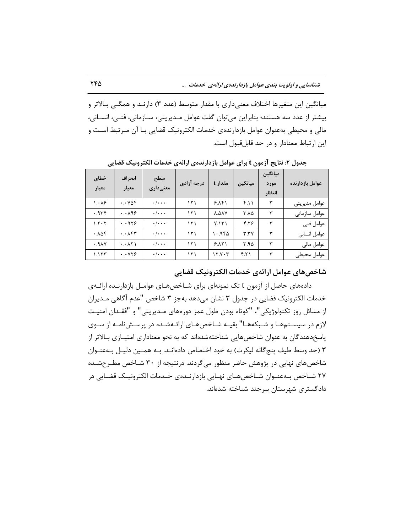میانگین این متغیرها اختلاف معنیداری با مقدار متوسط (عدد ۳) دارنـد و همگـی بـالاتر و بیشتر از عدد سه هستند؛ بنابراین میتوان گفت عوامل مـدیریتی، سـازمانی، فنـی، انسـانی، مالی و محیطی بهعنوان عوامل بازدارندهی خدمات الکترونیک قضایی بـا آن مـر تبط اسـت و این ارتباط معنادار و در حد قابل قبول است.

| خطاي<br>معيار             | انحراف<br>معيار                    | سطح<br>معنے داری          | درجه آزادی | مقدار t | ميانگين | ميانگين<br>مورد<br>انتظار | عوامل بازدارنده |
|---------------------------|------------------------------------|---------------------------|------------|---------|---------|---------------------------|-----------------|
| $\lambda \cdot \lambda$ ۶ | $\cdot \cdot \vee \wedge f$        | $\cdot$ / $\cdot$ $\cdot$ | ۱۲۱        | 9.181   | f.11    | ٣                         | عوامل مديريتي   |
| 979.4                     | $\cdot \cdot \wedge$ 98            | $\cdot$ / $\cdot$ $\cdot$ | ۱۲۱        | A.AAV   | ∆۸.۲    | ٣                         | عوامل سازمانى   |
| 1.5.5                     | .019                               | $\cdot$ / $\cdot$ $\cdot$ | ۱۲۱        | V.151   | 4.78    | ٣                         | عوامل فني       |
| .105                      | $\cdot \cdot \wedge$ ۴۳            | $\cdot$ / $\cdot$ $\cdot$ | ۱۲۱        | ۱۰.۹۴۵  | T.7V    | ٣                         | عوامل انسانى    |
| YAP.                      | $\cdot \cdot \wedge \wedge \wedge$ | $\cdot$ / $\cdot$ $\cdot$ | ۱۲۱        | 9.11    | ۳.۹۵    | ٣                         | عوامل مالى      |
| 1.157                     | $\cdot$ . $\vee\vee\vee$           | $\cdot$ / $\cdot$ $\cdot$ | ۱۲۱        | ۱۲.۷۰۳  | f.Y     | ٣                         | عوامل محيطى     |

**جسٍل :2 ًتایج آسهَى t تزای عَاهل تاسزارًسُی ارائِی ذسهات الکتزًٍیک قضایی**

**ضاذصّای عَاهل ارائِی ذسهات الکتزًٍیک قضایی**

دادههای حاصل از آزمون t تک نمونهای برای شـاخصهـای عوامـل بازدارنـده ارائـهی خدمات الکترونیک قضایی در جدول ۳ نشان میدهد بهجز ۳ شاخص "عدم آگاهی مـدیران از مسائل روز تكنولوژيكي"، "كوتاه بودن طول عمر دورههای مـديريتی" و "فقـدان امنيـت لازم در سیستمها و شـبکههـا" بقیـه شـاخصهـای ارائـهشـده در پرسـشنامـه از سـوی پاسخدهندگان به عنوان شاخصهایی شناختهشدهاند که به نحو معناداری امتیـازی بـالاتر از ۳ (حد وسط طیف پنج گانه لیکرت) به خود اختصاص دادهانـد. بـه همـین دلیـل بـهعنـوان شاخصهای نهایی در پژوهش حاضر منظور می گردند. درنتیجه از ۳۰ شـاخص مطـرحشـده ۲۷ شــاخص بــهعنــوان شــاخصهــای نهــایی بازدارنــدهی خــدمات الکترونیــک قضــایی در دادگستری شهرستان بیرجند شناخته شدهاند.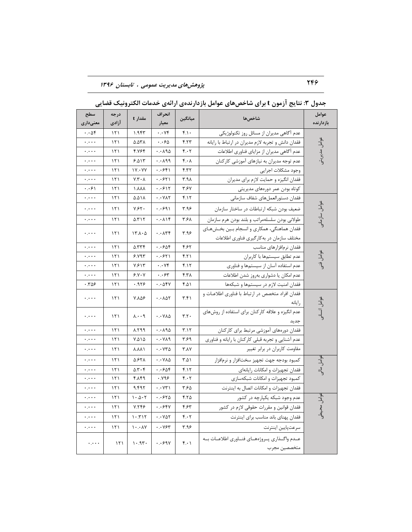| سطح<br>معنىدارى                      | درجه<br>ازادي | مقدار t                                | انحراف<br>معيار                            | ميانگين           | شاخصها                                                               | عوامل<br>بازدارنده                    |
|--------------------------------------|---------------|----------------------------------------|--------------------------------------------|-------------------|----------------------------------------------------------------------|---------------------------------------|
| $\cdots$ $\Delta f$                  | 151           | 1.955                                  | $\cdot \cdot \vee f$                       | f.                | عدم آگاهی مدیران از مسائل روز تکنولوژیکی                             |                                       |
| معبره                                | ۱۲۱           | ۵.۵۳۸                                  | ۰.۰۶۵                                      | ۴.۲۳              | فقدان دانش و تجربه لازم مديران در ارتباط با رايانه                   |                                       |
| معبره                                | ۱۲۱           | 4.764                                  | ۰.۰۸۹۵                                     | $f \cdot f$       | عدم أگاهي مديران از مزاياي فناوري اطلاعات                            | عوامل مديريتر                         |
| $\ddotsc$                            | ۱۲۱           | 9.015                                  | $\cdot \cdot \wedge$ 99                    | $f \cdot \Lambda$ | عدم توجه مدیران به نیازهای آموزشی کارکنان                            |                                       |
| $\ddots$                             | ۱۲۱           | $V \cdot V$                            | ۰.۰۶۴۱                                     | ۴.۳۲              | وجود مشكلات اجرايي                                                   |                                       |
| معبره                                | ۱۲۱           | Y.Y.A                                  | ۰.۰۶۲۱                                     | ۳.۹٨              | فقدان انگیزه و حمایت لازم برای مدیران                                |                                       |
| ۱۶۰. و                               | ۱۲۱           | <b>AAA</b> .                           | ۰.۰۶۱۲                                     | ۳.۶۷              | کوتاه بودن عمر دورههای مدیریتی                                       |                                       |
| معبره                                | 151           | ۵.۵۱۸                                  | $\cdot \cdot \mathsf{V} \wedge \mathsf{Y}$ | ۴.۱۲              | فقدان دستورالعملهاي شفاف سازماني                                     |                                       |
| معارف                                | 151           | $V.55$ .                               | .991                                       | ۳.۹۶              | ضعیف بودن شبکه ارتباطات در ساختار سازمان                             | <sub>کو</sub> امل سازمان <sub>ک</sub> |
| معبره                                | ۱۲۱           | $\Delta$ . $\Upsilon$ $\Upsilon$       | $\cdot \cdot \wedge \wedge$ ۴              | ۳.۶۸              | طولاني بودن سلسلهمراتب وبلند بودن هرم سازمان                         |                                       |
| معارف                                | ۱۲۱           | 15.1.0                                 | $\cdot \cdot \wedge \tau$                  | ۳.۹۶              | فقدان هماهنگی، همکاری و انسجام بـین بخـشهـای                         |                                       |
|                                      |               |                                        |                                            |                   | مختلف سازمان در به کارگیری فناوری اطلاعات                            |                                       |
| معترم                                | 151           | $\Delta$ . $\forall$                   | $\cdot$ . $505$                            | ۴۶۲               | فقدان نرمافزارهای مناسب                                              |                                       |
| $\cdot$ , $\cdot$ .                  | ۱۲۱           | 5.197                                  | $\cdot$ . ۶۲۱                              | ۴.۲۱              | عدم تطابق سيستمها با كاربران                                         | عوامل فنی                             |
| $\ddotsc$                            | ۱۲۱           | ۷۶۱۳                                   | $\cdot \cdot \vee f$                       | ۴.۱۲              | عدم استفاده آسان از سیستمها و فناوری                                 |                                       |
| $\ddotsc$                            | ۱۲۱           | 9.1.1                                  | ۶۰۰۶۳                                      | ۴.۳۸              | عدم امكان يا دشواري بهروز شدن اطلاعات                                |                                       |
| ۰.۳۵۶                                | ۱۲۱           | .959                                   | $\cdots$ $\Delta$ ۴۷                       | ۴۵۱               | فقدان امنيت لازم در سيستمها و شبكهها                                 |                                       |
| معاوية                               | 151           | <b>Y.AQS</b>                           | $\cdots \wedge \wedge \wedge$              | 5.51              | فقدان افراد متخصص در ارتباط با فناوري اطلاعـات و<br>, ایانه          |                                       |
|                                      |               |                                        |                                            |                   | عدم انگیزه و علاقه کارکنان برای استفاده از روشهای                    | عوامل انسانی                          |
| معارف                                | 151           | $\Lambda \cdot \cdot \mathcal{A}$      | $\cdot \cdot \vee \wedge \triangle$        | T.T               | جديد                                                                 |                                       |
| معارف                                | ۱۲۱           | A.799                                  | $\cdot \cdot \wedge \wedge \wedge$         | T.17              | فقدان دورههای آموزشی مرتبط برای کارکنان                              |                                       |
| ولاوره                               | ۱۲۱           | ۱۵۵.۷                                  | ۰.۰۷۸۹                                     | ۳۶۹               | عدم آشنایی و تجربه قبلی کارکنان با رایانه و فناوری                   |                                       |
| معاوية                               | ۱۲۱           | <b>A.AA</b>                            | ۱۰۰۷۳۵                                     | <b>۳.۸</b>        | مقاومت کاربران در برابر تغییر                                        |                                       |
| $\ddotsc$                            | 151           | <b>A.STA</b>                           | $\cdot \cdot \vee \wedge \Delta$           | $T.\Delta$        | كمبود بودجه جهت تجهيز سختافزار و نرمافزار                            | عوامل مالی                            |
| $\epsilon$ , $\epsilon$ , $\epsilon$ | 151           | $\Delta$ . $\mathbf{r}$ . $\mathbf{r}$ | $\cdots$ $66$                              | f.17              | فقدان تجهيزات وامكانات رايانهاى                                      |                                       |
| معارم                                | ۱۲۱           | ۴.۸۴۹                                  | ۷۹۶.۰                                      | ۴۰۲               | كمبود تجهيزات وامكانات شبكهسازى                                      |                                       |
| $\ddotsc$                            | ۱۲۱           | 9.495                                  | $\cdot \cdot \vee \vee \vee$               | ۳.۶۵              | فقدان تجهيزات وامكانات اتصال به اينترنت                              |                                       |
| معارف                                | ۱۲۱           | $1 - \Delta \cdot 7$                   | ۲۰۰۶۲۵                                     | ۴.۲۵              | عدم وجود شبکه یکپارچه در کشور                                        |                                       |
| $\ddotsc$                            | ۱۲۱           | Y. Y F F                               | ۰.۰۶۴۷                                     | ۴.۶۳              | فقدان قوانین و مقررات حقوقی لازم در کشور                             | ہوامل محیطو                           |
| $\ddotsc$                            | ۱۲۱           | 1.517                                  | $\cdots$ YAT                               | $f \cdot f$       | فقدان پهنای باند مناسب برای اینترنت                                  |                                       |
| بالمراء                              | ۱۲۱           | $1 \cdot . \cdot \wedge V$             | $\cdot \cdot \vee \varepsilon$ ۳           | ۳.۹۶              | سرعتپايين اينترنت                                                    |                                       |
| $\epsilon$ , $\epsilon$ , $\epsilon$ | 151           | 1.95                                   | .                                          | $f \cdot \eta$    | عــدم واگــذارى پــروژههــاى فنــاورى اطلاعــات بــه<br>متخصصين مجرب |                                       |

**جسٍل :3 ًتایج آسهَى t تزای ضاذصّای عَاهل تاسزارًسُی ارائِی ذسهات الکتزًٍیک قضایی**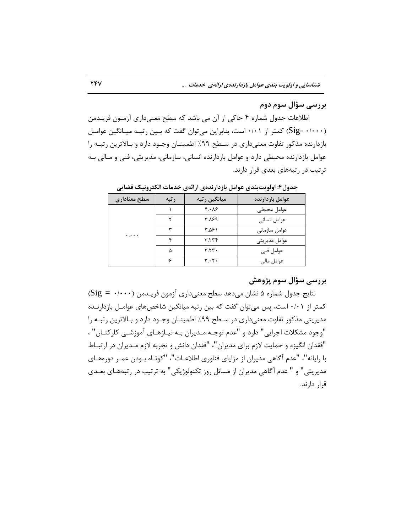# **تزرسی سؤال سَم زٍم**

اطلاعات جدول شماره ۴ حاکی از آن می باشد که سطح معنیداری آزمـون فریـدمن (Sig= ۰/۰۰۰) کمتر از ۰/۰۱ است، بنابراین میتوان گفت که بـین رتبـه میـانگین عوامـل بازدارنده مذکور تفاوت معنی داری در سـطح ۹۹٪ اطمینـان وجـود دارد و بـالاترین رتبـه را عوامل بازدارنده محیطی دارد و عوامل بازدارنده انسانی، سازمانی، مدیریتی، فنی و مـالی بـه تر تیب در رتبههای بعدی قرار دارند.

| سطح معناداري | ر تبه | میانگین ر تبه                   | عوامل بازدارنده |
|--------------|-------|---------------------------------|-----------------|
| $\ddotsc$    |       | $f \cdot \lambda f$             | عوامل محيطى     |
|              |       | ۳۸۶۹                            | عوامل انسانى    |
|              | س     | ۳.۵۶۱                           | عوامل سازمانى   |
|              |       | ۳.۲۳۴                           | عوامل مديريتي   |
|              | ۵     | $r_{.7}r_{.}$                   | عوامل فني       |
|              |       | $\mathbf{r} \cdot \mathbf{r}$ . | عوامل مالی      |

**جسٍل:4 اٍلَیتتٌسی عَاهل تاسزارًسُی ارائِی ذسهات الکتزًٍیک قضایی**

# **تزرسی سؤال سَم پضٍّص**

نتايج جدول شماره ۵ نشان مىدهد سطح معنىدارى آزمون فريـدمن (Sig = ۰/۰۰۰) کمتر از ۰/۰۱ است، پس می توان گفت که بین رتبه میانگین شاخصهای عوامـل بازدارنـده مدیریتی مذکور تفاوت معنیداری در سـطح ۹۹٪ اطمینـان وجـود دارد و بـالاترین رتبـه را "وجود مشكلات اجرایی" دارد و "عدم توجـه مـدیران بـه نیـازهـای آموزشـی كاركنــان" ، "فقدان انگیزه و حمایت لازم برای مدیران"، "فقدان دانش و تجربه لازم مـدیران در ارتبـاط با رایانه"، "عدم آگاهی مدیران از مزایای فناوری اطلاعـات"، "کوتـاه بـودن عمـر دورههـای مدیریتی" و " عدم آگاهی مدیران از مسائل روز تکنولوژیکی" به ترتیب در رتبههـای بعــدی قرار دارند.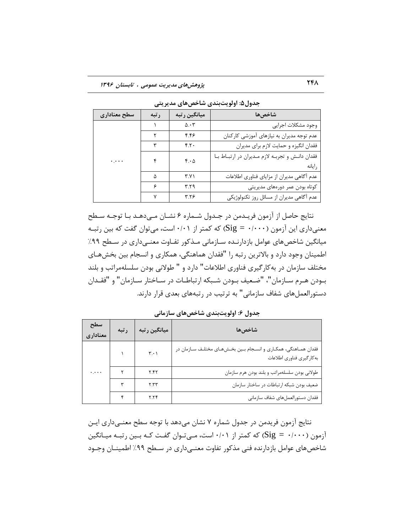| سطح معنادارى          | رتبه | ميانگين رتبه        | شاخصها                                                |
|-----------------------|------|---------------------|-------------------------------------------------------|
|                       |      | $\Delta \cdot \tau$ | وجود مشكلات اجرايي                                    |
|                       |      | ۴.۴۶                | عدم توجه مدیران به نیازهای آموزشی کارکنان             |
|                       |      | f.7.                | فقدان انگیزه و حمایت لازم برای مدیران                 |
| $\ddotsc$ , $\ddotsc$ | ۴    | $f \cdot \Delta$    | فقدان دانش و تجربه لازم مديران در ارتباط با<br>رايانه |
|                       | ٨    | Y.Y                 | عدم آگاهی مدیران از مزایای فناوری اطلاعات             |
|                       | ۶    | ۳.۲۹                | کوتاه بودن عمر دورههای مدیریتی                        |
|                       | ٧    | ۳.۲۶                | عدم آگاهی مدیران از مسائل روز تکنولوژیکی              |

**جسٍل:5 اٍلَیتتٌسی ضاذصّای هسیزیتی**

نتایج حاصل از آزمون فریـدمن در جـدول شـماره ۶ نشـان مـیدهـد بـا توجـه سـطح معنیداری این آزمون (۰/۰۰۰ = Sig) که کمتر از ۰/۰۱ است، میتوان گفت که بین رتبـه میانگین شاخص های عوامل بازدارنـده سـازمانی مـذکور تفـاوت معنـیcاری در سـطح ۹۹٪ اطمینان وجود دارد و بالاترین رتبه را "فقدان هماهنگی، همکاری و انسجام بین بخشهـای مختلف سازمان در به کارگیری فناوری اطلاعات" دارد و " طولانی بودن سلسلهمراتب و بلند بِ ودن هـرم سـازمان"، "ضـعیف بـودن شـبکه ارتباطـات در سـاختار سـازمان" و "فقـدان دستورالعملِهای شفاف سازمانی" به ترتیب در رتبههای بعدی قرار دارند.

| سطح<br>معناداري                      | رتبه | میانگین رتبه                  | شاخصها                                                                                        |
|--------------------------------------|------|-------------------------------|-----------------------------------------------------------------------------------------------|
|                                      |      | $\mathbf{r} \cdot \mathbf{1}$ | فقدان همـاهنگی، همکـاری و انسـجام بـین بخـشهـای مختلـف سـازمان در<br>بهكارگيري فناوري اطلاعات |
| $\epsilon$ , $\epsilon$ , $\epsilon$ |      | Y.YY                          | طولاني بودن سلسلهمراتب وبلند بودن هرم سازمان                                                  |
|                                      |      | ۳.۳۳                          | ضعيف بودن شبكه ارتباطات در ساختار سازمان                                                      |
|                                      |      | 7.79                          | فقدان دستورالعملهاي شفاف سازماني                                                              |

**جسٍل :6 اٍلَیتتٌسی ضاذصّای ساسهاًی**

نتایج آزمون فریدمن در جدول شماره ۷ نشان می۵هد با توجه سطح معنـیداری ایـن آزمون (۱٬۰۰۰ = Sig) که کمتر از ۰/۰۱ است، مـیتوان گفت کـه بـین رتبـه میـانگین شاخصهای عوامل بازدارنده فنی مذکور تفاوت معنے داری در سـطح ۹۹٪ اطمینــان وجــود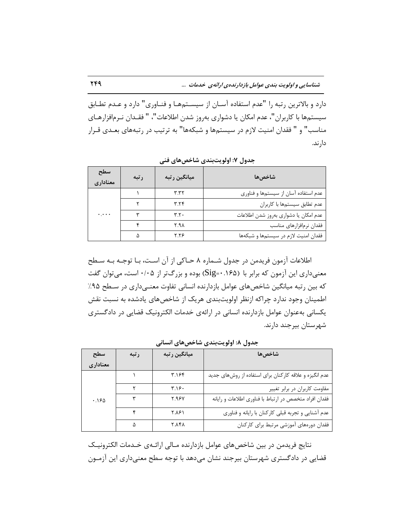دارد و بالاترین رتبه را "عدم استفاده آسـان از سیسـتمهـا و فنـاوری" دارد و عـدم تطـابق سیستمها با کاربران"، عدم امکان یا دشواری بهروز شدن اطلاعات"، " فقـدان نـرمافزارهـای مناسب" و " فقدان امنیت لازم در سیستمها و شبکهها" به ترتیب در رتبههای بعـدی قـرار دار ند.

| سطح<br>معناداری | ر تبه | میانگین ر تبه      | شاخص ها                               |
|-----------------|-------|--------------------|---------------------------------------|
|                 |       | ۳.۳۲               | عدم استفاده آسان از سیستمها و فناوری  |
|                 |       | 7.79               | عدم تطابق سيستمها با كاربران          |
| $\ddotsc$       |       | $\mathbf{r} \cdot$ | عدم امكان يا دشوارى بهروز شدن اطلاعات |
|                 |       | X.A                | فقدان نرمافزارهاى مناسب               |
|                 |       | ۲.۲۶               | فقدان امنيت لازم در سيستمها و شبكهها  |

**جسٍل :7 اٍلَیتتٌسی ضاذصّای فٌی**

اطلاعات آزمون فریدمن در جدول شـماره ۸ حـاکی از آن اسـت، بـا توجـه بـه سـطح معنی داری این آزمون که برابر با (۱۶۵–Sig) بوده و بزرگ تر از ۰/۰۵ است، می توان گفت که بین رتبه میانگین شاخصهای عوامل بازدارنده انسانی تفاوت معنـیداری در سـطح ۹۵٪ اطمینان وجود ندارد چراکه ازنظر اولویتبندی هریک از شاخصهای یادشده به نسبت نقش یکسانی بهعنوان عوامل بازدارنده انسانی در ارائهی خدمات الکترونیک قضایی در دادگستری شهرستان بیرجند دارند.

| سطح      | رتبه | ميانگين رتبه | شاخصها                                                 |
|----------|------|--------------|--------------------------------------------------------|
| معناداري |      |              |                                                        |
|          |      | ۳.۱۶۴        | عدم انگیزه و علاقه کارکنان برای استفاده از روشهای جدید |
|          |      | T.19         | مقاومت کاربران در برابر تغییر                          |
| .180     |      | <b>7.98Y</b> | فقدان افراد متخصص در ارتباط با فناورى اطلاعات و رايانه |
|          |      | <b>13.87</b> | عدم آشنایی و تجربه قبلی کارکنان با رایانه و فناوری     |
|          |      | <b>7.141</b> | فقدان دورههای آموزشی مرتبط برای کارکنان                |

**جسٍل :8 اٍلَیتتٌسی ضاذصّای اًساًی**

نتایج فریدمن در بین شاخص۵مای عوامل بازدارنده مـالی ارائـهی خـدمات الکترونیـک قضایی در دادگستری شهرستان بیرجند نشان میٖدهد با توجه سطح معنیداری این آزمـون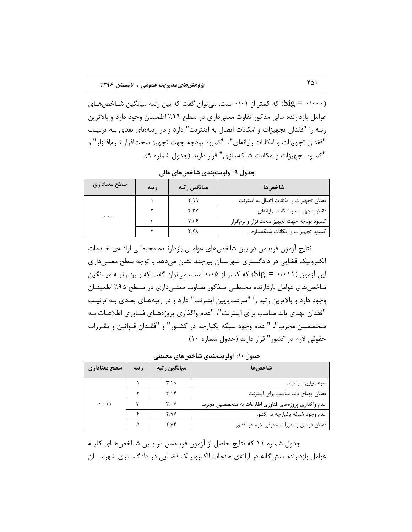که کمتر از ۱۰/۰۱ است، می توان گفت که بین رتبه میانگین شــاخصهـای (Sig = ۰/۰۰۰ عوامل بازدارنده مالی مذکور تفاوت معنیداری در سطح ۹۹٪ اطمینان وجود دارد و بالاترین رتبه را "فقدان تجهیزات و امکانات اتصال به اینترنت" دارد و در رتبههای بعدی بـه ترتیـب "فقدان تجهیزات و امکانات رایانهای"، "کمبود بودجه جهت تجهیز سختافزار نـرمافـزار" و "كمبود تجهیزات و امكانات شبكهسازی" قرار دارند (جدول شماره ۹).

**جسٍل :9 اٍلَیتتٌسی ضاذصّای هالی**

| سطح معناداري | رتبه | میانگین رتبه | شاخصها                                    |
|--------------|------|--------------|-------------------------------------------|
|              |      | ۳.۹۹         | فقدان تجهيزات و امكانات اتصال به اينترنت  |
| $\ddotsc$    |      | Y. YV        | فقدان تجهيزات وامكانات رايانهاى           |
|              |      | 7.78         | كمبود بودجه جهت تجهيز سختافزار و نرمافزار |
|              |      | <b>7.7A</b>  | كمبود تجهيزات و امكانات شبكهسازى          |

نتایج آزمون فریدمن در بین شاخصهای عوامـل بازدارنـده محیطـی ارائـهی خـدمات الکترونیک قضایی در دادگستری شهرستان بیرجند نشان میدهد با توجه سطح معنـیداری این آزمون (۱۰۱۱+  $\operatorname{sig} = \operatorname{sig}$ ) که کمتر از ۱٬۰۵+ است، می توان گفت که بـین رتبـه میـانگین شاخصهای عوامل بازدارنده محیطی مـذکور تفـاوت معنـی،داری در سـطح ۹۵٪ اطمینــان وجود دارد و بالاترین رتبه را "سرعتپایین اینترنت" دارد و در رتبههـای بعـدی بـه ترتیـب "فقدان پهنای باند مناسب برای اینترنت"، "عدم واگذاری پروژههـای فنــاوری اطلاعــات بــه متخصصین مجرب"، " عدم وجود شبکه یکپارچه در کشـور" و "فقـدان قـوانین و مقـررات حقوقی لازم در كشور" قرار دارند (جدول شماره ۱۰).

| سطح معناداري                        | رتبه | میانگین ر تبه                 | شاخصها                                              |
|-------------------------------------|------|-------------------------------|-----------------------------------------------------|
| $\cdot \cdot \cdot \setminus \cdot$ |      | ۳.۱۹                          | سرعت پايين اينترنت                                  |
|                                     |      | ۳۱۴                           | فقدان پهنای باند مناسب برای اینترنت                 |
|                                     |      | $\mathbf{r} \cdot \mathbf{v}$ | عدم واگذاری پروژههای فناوری اطلاعات به متخصصین مجرب |
|                                     |      | Y.9V                          | عدم وجود شبکه یکپارچه در کشور                       |
|                                     |      | ۲۶۴                           | فقدان قوانین و مقررات حقوقی لازم در کشور            |

**جسٍل :10 اٍلَیتتٌسی ضاذصّای هحیطی**

جدول شماره ۱۱ که نتایج حاصل از آزمون فریـدمن در بـین شـاخص۵هـای کلیـه عوامل بازدارنده شش گانه در ارائهی خدمات الکترونیـک قضـایی در دادگســتری شهرســتان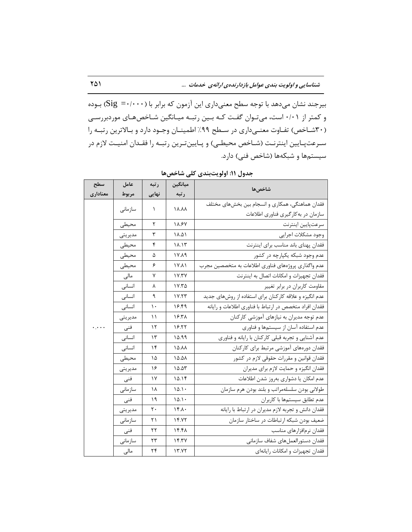بیرجند نشان میدهد با توجه سطح معنیداری این آزمون که برابر با (Sig =۰/۰۰۰) بـوده و کمتر از ۰/۰۱ است، میتوان گفت کـه بـین رتبـه میـانگین شـاخصهـای موردبررسـی (۳۰شاخص) تفاوت معنےداری در سطح ۹۹٪ اطمینان وجـود دارد و بالاترین رتبـه را سرعتپایین اینترنت (شاخص محیطی) و پایینترین رتبـه را فقـدان امنیـت لازم در سیستمها و شبکهها (شاخص فنی) دارد.

| سطح       | عامل    | رتبه  | ميانگين      |                                                                                        |
|-----------|---------|-------|--------------|----------------------------------------------------------------------------------------|
| معنادارى  | مربوط   | نهایی | رتبه         | شاخصها                                                                                 |
|           | سازمانى | ١     | <b>AA.A</b>  | فقدان هماهنگی، همکاری و انسجام بین بخشهای مختلف<br>سازمان در به کارگیری فناوری اطلاعات |
|           | محيطى   | ٢     | 18.87        | سرعتپايين اينترنت                                                                      |
|           | مديريتي | ٣     | 14.41        | وجود مشكلات اجرايي                                                                     |
|           | محيطى   | ۴     | 11.15        | فقدان پهنای باند مناسب برای اینترنت                                                    |
|           | محيطى   | ۵     | 17.19        | عدم وجود شبکه یکپارچه در کشور                                                          |
|           | محيطى   | ۶     | <b>IV.A1</b> | عدم واگذاری پروژههای فناوری اطلاعات به متخصصین مجرب                                    |
|           | مالی    | ٧     | V.7V         | فقدان تجهيزات وامكانات اتصال به اينترنت                                                |
|           | انسانى  | γ     | ۱۷.۳۵        | مقاومت کاربران در برابر تغییر                                                          |
|           | انسانى  | ٩     | 1Y.5T        | عدم انگیزه و علاقه کارکنان برای استفاده از روشهای جدید                                 |
|           | انسانى  | ١.    | 18.49        | فقدان افراد متخصص در ارتباط با فناوري اطلاعات و رايانه                                 |
|           | مديريتي | ۱۱    | ۱۶.۳۸        | عدم توجه مدیران به نیازهای آموزشی کارکنان                                              |
| $\ddotsc$ | فنى     | ۱۲    | 18.77        | عدم استفاده آسان از سیستمها و فناوری                                                   |
|           | انسانى  | ۱۳    | ۱۵.۹۹        | عدم آشنایی و تجربه قبلی کارکنان با رایانه و فناوری                                     |
|           | انسانى  | ۱۴    | 14.44        | فقدان دورههای آموزشی مرتبط برای کارکنان                                                |
|           | محيطى   | ۱۵    | 14.41        | فقدان قوانین و مقررات حقوقی لازم در کشور                                               |
|           | مديريتي | ۱۶    | 10.27        | فقدان انگیزه و حمایت لازم برای مدیران                                                  |
|           | فنى     | ١٧    | 10.19        | عدم امکان یا دشواری بهروز شدن اطلاعات                                                  |
|           | سازمانى | ۱۸    | $10.1 \cdot$ | طولاني بودن سلسلهمراتب و بلند بودن هرم سازمان                                          |
|           | فنى     | ۱۹    | 10.1.        | عدم تطابق سيستمها با كاربران                                                           |
|           | مديريتي | ٢٠    | 15.1         | فقدان دانش و تجربه لازم مديران در ارتباط با رايانه                                     |
|           | سازمانى | ۲۱    | 14.75        | ضعیف بودن شبکه ارتباطات در ساختار سازمان                                               |
|           | فنى     | ۲۲    | ۱۴.۴۸        | فقدان نرمافزارهاى مناسب                                                                |
|           | سازمانى | ۲۳    | Yf.YV        | فقدان دستورالعملهاى شفاف سازماني                                                       |
|           | مالی    | ۲۴    | 17.77        | فقدان تجهيزات و امكانات رايانهاى                                                       |

**جسٍل :11 اٍلَیتتٌسی کلی ضاذصّا**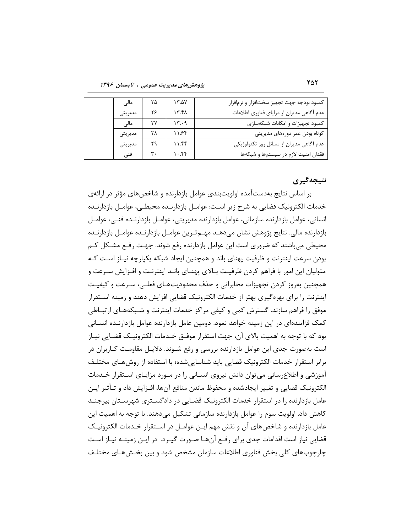252 **پضٍّصّای هسیزیت عوَهی ، تاتستاى 1396**

| مالی    | ۲۵ | ۱۳.۵۷ | كمبود بودجه جهت تجهيز سختافزار و نرمافزار |
|---------|----|-------|-------------------------------------------|
| مديريتي | ۲۶ | ۱۳.۴۸ | عدم أگاهي مديران از مزاياي فناوري اطلاعات |
| مالے    | ۲۷ | ۱۳۰۹  | كمبود تجهيزات و امكانات شبكهسازى          |
| مديريتي | ٢٨ | ۱۱۶۴  | کوتاه بودن عمر دورههای مدیریتی            |
| مديريتي | ۲۹ | ۱۱۴۴  | عدم آگاهی مدیران از مسائل روز تکنولوژیکی  |
| فنے،    | ۳. | ۱۰.۴۴ | فقدان امنيت لازم در سيستمها و شبكهها      |

# **ًتیجِگیزی**

بر اساس نتایج بهدستآمده اولویتبندی عوامل بازدارنده و شاخصهای مؤثر در ارائهی خدمات الکترونیک قضایی به شرح زیر است: عوامـل بازدارنـده محیطـی، عوامـل بازدارنـده انسانی، عوامل بازدارنده سازمانی، عوامل بازدارنده مدیریتی، عوامــل بازدارنــده فنــی، عوامــل بازدارنده مالی. نتایج پژوهش نشان میدهـد مهـمتـرین عوامـل بازدارنـده عوامـل بازدارنـده محیطی می باشند که ضروری است این عوامل بازدارنده رفع شوند. جهت رفـع مشـكل کـم بودن سرعت اینترنت و ظرفیت پهنای باند و همچنین ایجاد شبکه یکپارچه نیـاز اسـت کـه متولیان این امور با فراهم کردن ظرفیت بـالای پهنـای بانـد اینترنـت و افـزایش سـرعت و همچنین بهروز کردن تجهیزات مخابراتی و حذف محدودیتهـای فعلـی، سـرعت و کیفیـت اینترنت را برای بهره گیری بهتر از خدمات الکترونیک قضایی افزایش دهند و زمینه اسـتقرار موفق را فراهم سازند. گسترش كمی و كیفی مراكز خدمات اینترنت و شـبكههـای ارتبـاطی کمک فزایندهای در این زمینه خواهد نمود. دومین عامل بازدارنده عوامل بازدارنـده انســانی بود که با توجه به اهمیت بالای آن، جهت استقرار موفـق خـدمات الکترونیـک قضـایی نیـاز است بهصورت جدی این عوامل بازدارنده بررسی و رفع شـوند. دلایـل مقاومـت کـاربران در برابر استقرار خدمات الكترونیک قضایی باید شناسایی شده؛ با استفاده از روش هـای مختلـف آموزشی و اطلاع سانی می توان دانش نیروی انسـانی را در مـورد مزایـای اسـتقرار خـدمات الکترونیک قضایی و تغییر ایجادشده و محفوظ ماندن منافع آنها، افـزایش داد و تـأثیر ایـن عامل بازدارنده را در استقرار خدمات الکترونیک قضـایی در دادگسـتری شهرسـتان بیرجنــد كاهش داد. اولویت سوم را عوامل بازدارنده سازمانی تشكیل می،دهند. با توجه به اهمیت این عامل بازدارنده و شاخصهای آن و نقش مهم ایـن عوامـل در اسـتقرار خـدمات الکترونیـک قضایی نیاز است اقدامات جدی برای رفـع آنهـا صـورت گیـرد. در ایـن زمینــه نیــاز اســت چارچوبهای کلی بخش فناوری اطلاعات سازمان مشخص شود و بین بخـش۵مـای مختلـف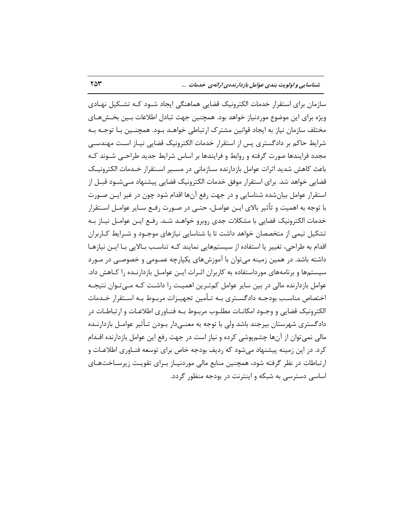**ضٌاسایی ٍ اٍلَیت تٌسی عَاهل تاسزارًسُی ارائِی ذسهات ...** 253

سازمان برای استقرار خدمات الکترونیک قضایی هماهنگی ایجاد شـود کـه تشـکیل نهـادی ویژه برای این موضوع موردنیاز خواهد بود. همچنین جهت تبادل اطلاعات بـین بخـش@عای مختلف سازمان نیاز به ایجاد قوانین مشترک ارتباطی خواهـد بـود. همچنـین بـا توجـه بـه شرایط حاکم بر دادگستری پس از استقرار خدمات الکترونیک قضایی نیـاز اسـت مهندسـی مجدد فرایندها صورت گرفته و روابط و فرایندها بر اساس شرایط جدید طراحـی شــوند کــه باعث كاهش شدید اثرات عوامل بازدارنده سـازمانی در مسـیر اسـتقرار خـدمات الكترونیـک قضایی خواهد شد. برای استقرار موفق خدمات الکترونیک قضایی پیشنهاد مـی شـود قبـل از استقرار عوامل بیانشده شناسایی و در جهت رفع آنها اقدام شود چون در غیر ایـن صـورت با توجه به اهمیت و تأثیر بالای ایـن عوامـل، حتـی در صـورت رفـع سـایر عوامـل اسـتقرار خدمات الکترونیک قضایی با مشکلات جدی روبرو خواهـد شـد. رفـع ایـن عوامـل نیـاز بـه تشکیل تیمی از متخصصان خواهد داشت تا با شناسایی نیازهای موجـود و شـرایط کـاربران اقدام به طراحی، تغییر یا استفاده از سیستمهایی نمایند کـه تناسـب بـالایی بـا ایـن نیازهـا داشته باشد. در همین زمینه می توان با آموزش های یکپارچه عمـومی و خصوصـی در مـورد سیستمها و برنامههای مورداستفاده به کاربران اثـرات ایـن عوامـل بازدارنـده را کـاهش داد. عوامل بازدارنده مالی در بین سایر عوامل کمترین اهمیت را داشت کـه مـیتـوان نتیجـه اختصاص مناسب بودجـه دادگســتری بـه تــأمین تجهیــزات مربـوط بـه اســتقرار خــدمات الکترونیک قضایی و وجـود امکانـات مطلـوب مربـوط بـه فنـاوری اطلاعـات و ارتباطـات در دادگستری شهرستان بیرجند باشد ولی با توجه به معنــیدار بــودن تــأثیر عوامــل بازدارنــده مالی نمی توان از آنها چشم یوشی کرده و نیاز است در جهت رفع این عوامل بازدارنده اقــدام کرد. در این زمینه پیشنهاد میشود که ردیف بودجه خاص برای توسعه فنـاوری اطلاعـات و ارتباطات در نظر گرفته شود، همچنین منابع مالی موردنیـاز بـرای تقویـت زیرسـاختهـای اساسی دسترسی به شبکه و اینترنت در بودجه منظور گردد.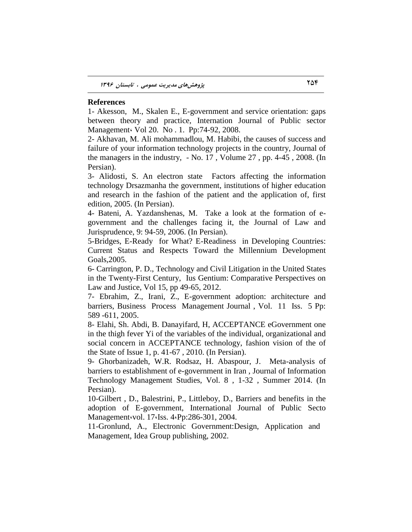#### **References**

1- Akesson, M., Skalen E., E-government and service orientation: gaps between theory and practice, Internation Journal of Public sector Management، Vol 20. No . 1. Pp:74-92, 2008.

2- Akhavan, M. Ali mohammadlou, M. Habibi, the causes of success and failure of your information technology projects in the country, Journal of the managers in the industry, - No. 17 , Volume 27 , pp. 4-45 , 2008. (In Persian).

3- Alidosti, S. An electron state Factors affecting the information technology Drsazmanha the government, institutions of higher education and research in the fashion of the patient and the application of, first edition, 2005. (In Persian).

4- Bateni, A. Yazdanshenas, M. Take a look at the formation of egovernment and the challenges facing it, the Journal of Law and Jurisprudence, 9: 94-59, 2006. (In Persian).

5-Bridges, E-Ready for What? E-Readiness in Developing Countries: Current Status and Respects Toward the Millennium Development Goals,2005.

6- Carrington, P. D., Technology and Civil Litigation in the United States in the Twenty-First Century, Ius Gentium: Comparative Perspectives on Law and Justice, Vol 15, pp 49-65, 2012.

7- Ebrahim, Z., Irani, Z., E-government adoption: architecture and barriers, Business Process Management Journal , Vol. 11 Iss. 5 Pp: 589 -611, 2005.

8- Elahi, Sh. Abdi, B. Danayifard, H, ACCEPTANCE eGovernment one in the thigh fever Yi of the variables of the individual, organizational and social concern in ACCEPTANCE technology, fashion vision of the of the State of Issue 1, p. 41-67 , 2010. (In Persian).

9- Ghorbanizadeh, W.R. Rodsaz, H. Abaspour, J. Meta-analysis of barriers to establishment of e-government in Iran , Journal of Information Technology Management Studies, Vol. 8 , 1-32 , Summer 2014. (In Persian).

10-Gilbert , D., Balestrini, P., Littleboy, D., Barriers and benefits in the adoption of E-government, International Journal of Public Secto Management vol. 17 (Iss. 4 (Pp: 286-301, 2004.

11-Gronlund, A., Electronic Government:Design, Application and Management, Idea Group publishing, 2002.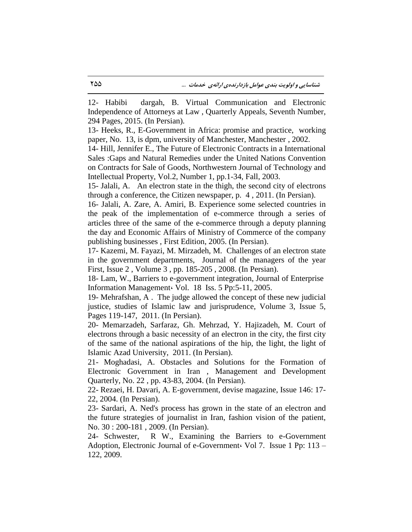12- Habibi dargah, B. Virtual Communication and Electronic Independence of Attorneys at Law , Quarterly Appeals, Seventh Number, 294 Pages, 2015. (In Persian).

13- Heeks, R., E-Government in Africa: promise and practice, working paper, No. 13, is dpm, university of Manchester, Manchester , 2002.

14- Hill, Jennifer E., The Future of Electronic Contracts in a International Sales :Gaps and Natural Remedies under the United Nations Convention on Contracts for Sale of Goods, Northwestern Journal of Technology and Intellectual Property, Vol.2, Number 1, pp.1-34, Fall, 2003.

15- Jalali, A. An electron state in the thigh, the second city of electrons through a conference, the Citizen newspaper, p. 4 , 2011. (In Persian).

16- Jalali, A. Zare, A. Amiri, B. Experience some selected countries in the peak of the implementation of e-commerce through a series of articles three of the same of the e-commerce through a deputy planning the day and Economic Affairs of Ministry of Commerce of the company publishing businesses , First Edition, 2005. (In Persian).

17- Kazemi, M. Fayazi, M. Mirzadeh, M. Challenges of an electron state in the government departments, Journal of the managers of the year First, Issue 2 , Volume 3 , pp. 185-205 , 2008. (In Persian).

18- Lam, W., Barriers to e-government integration, Journal of Enterprise Information Management، Vol. 18 Iss. 5 Pp:5-11, 2005.

19- Mehrafshan, A . The judge allowed the concept of these new judicial justice, studies of Islamic law and jurisprudence, Volume 3, Issue 5, Pages 119-147, 2011. (In Persian).

20- Memarzadeh, Sarfaraz, Gh. Mehrzad, Y. Hajizadeh, M. Court of electrons through a basic necessity of an electron in the city, the first city of the same of the national aspirations of the hip, the light, the light of Islamic Azad University, 2011. (In Persian).

21- Moghadasi, A. Obstacles and Solutions for the Formation of Electronic Government in Iran , Management and Development Quarterly, No. 22 , pp. 43-83, 2004. (In Persian).

22- Rezaei, H. Davari, A. E-government, devise magazine, Issue 146: 17- 22, 2004. (In Persian).

23- Sardari, A. Ned's process has grown in the state of an electron and the future strategies of journalist in Iran, fashion vision of the patient, No. 30 : 200-181 , 2009. (In Persian).

24- Schwester, R W., Examining the Barriers to e-Government Adoption, Electronic Journal of e-Government، Vol 7. Issue 1 Pp: 113 – 122, 2009.